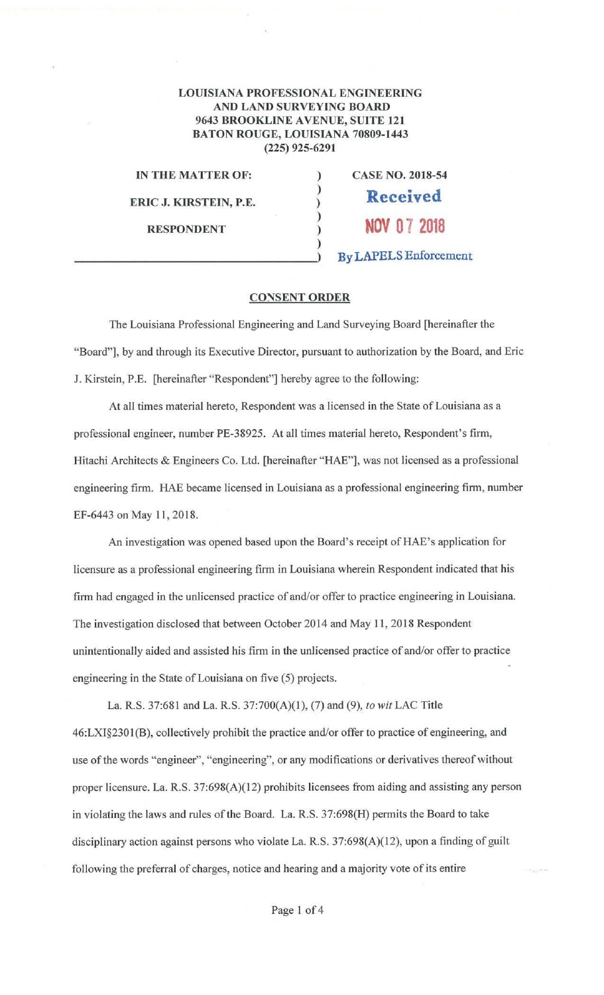## LOUISIANA PROFESSIONAL ENGINEERING AND LAND SURVEYING BOARD 9643 BROOKLINE AVENUE, SUITE 121 BATON ROUGE, LOUISIANA 70809-1443 (225) 925-6291

) ) ) ) ) )

IN **THE MATTER OF:** 

**ERIC J. KIRSTEIN, P.E.** 

**RESPONDENT** 

**CASE NO. 2018-54 Received NOV 07 2018 By LAPELS** Enforcement

## **CONSENT ORDER**

The Louisiana Professional Engineering and Land Surveying Board [hereinafter the "Board", by and through its Executive Director, pursuant to authorization by the Board, and Eric J. Kirstein, P.E. [hereinafter "Respondent"] hereby agree to the following:

At all times material hereto, Respondent was a licensed in the State of Louisiana as a professional engineer, number PE-38925. At all times material hereto, Respondent's firm, Hitachi Architects & Engineers Co. Ltd. (hereinafter "HAE"], was not licensed as a professional engineering firm. HAE became licensed in Louisiana as a professional engineering firm, number EF-6443 on May 11, 2018.

An investigation was opened based upon the Board's receipt of HAE's application for licensure as a professional engineering firm in Louisiana wherein Respondent indicated that his firm had engaged in the unlicensed practice of and/or offer to practice engineering in Louisiana. The investigation disclosed that between October 2014 and May 11, 2018 Respondent unintentionally aided and assisted his firm in the unlicensed practice of and/or offer to practice engineering in the State of Louisiana on five (5) projects.

La. R.S. 37:681 and La. R.S. 37:700(A)(l), (7) and (9), *to wit* LAC Title 46:LXI§2301 (B), collectively prohibit the practice and/or offer to practice of engineering, and use of the words "engineer", "engineering", or any modifications or derivatives thereof without proper licensure. La. R.S. 37:698(A)(12) prohibits licensees from aiding and assisting any person in violating the laws and rules of the Board. La. R.S. 37:698(H) permits the Board to take disciplinary action against persons who violate La. R.S. 37:698(A)(12), upon a finding of guilt following the preferral of charges, notice and hearing and a majority vote of its entire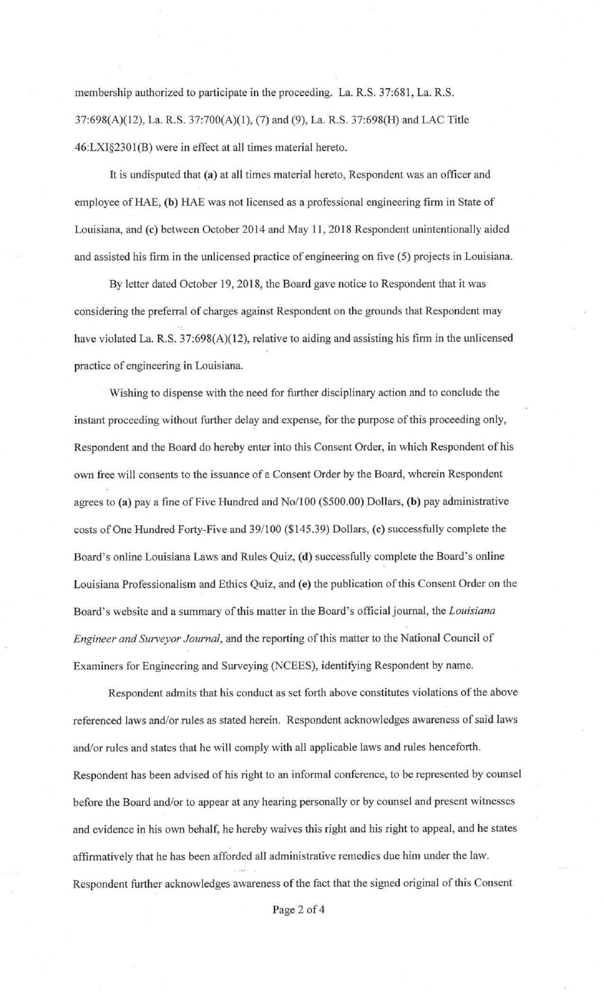membership authorized to participate in the proceeding. La. R.S. 37:681, La. R.S. 37:698(A)(12), La. R.S. 37:700(A)(l), (7) and (9), La. R.S. 37:698(H) and LAC Title 46:LXl§2301(B) were in effect at all times material hereto.

It is undisputed that (a) at all times material hereto, Respondent was an officer and employee of HAE, **(b)** HAE was not licensed as a professional engineering firm in State of Louisiana, and (c) between October 2014 and May 11, 2018 Respondent unintentionally aided and assisted his firm in the unlicensed practice of engineering on five (5) projects in Louisiana.

By letter dated October 19, 2018, the Board gave notice to Respondent that it was considering the preferral of charges against Respondent on the grounds that Respondent may have violated La. R.S. 37:698(A)(12), relative to aiding and assisting his firm in the unlicensed practice of engineering in Louisiana.

Wishing to dispense with the need for further disciplinary action and to conclude the instant proceeding without further delay and expense, for the purpose of this proceeding only, Respondent and the Board do hereby enter into this Consent Order, in which Respondent of his own free will consents to the issuance of a Consent Order by the Board, wherein Respondent agrees to **(a)** pay a fine of Five Hundred and No/100 (\$500.00) Dollars, **(b)** pay administrative costs of One Hundred Forty-Five and 39/100 (\$145.39) Dollars, **(c)** successfully complete the Board's online Louisiana Laws and Rules Quiz, **(d)** successfully complete the Board's online Louisiana Professionalism and Ethics Quiz, and **(e)** the publication of this Consent Order on the Board's website and a summary of this matter in the Board's officialjoumal, the *Louisiana Engineer and Surveyor Journal,* and the reporting of this matter to the National Council of Examiners for Engineering and Surveying (NCEES), identifying Respondent by name.

Respondent admits that his conduct as set forth above constitutes violations of the above referenced laws and/or rules as stated herein. Respondent acknowledges awareness of said laws and/or rules and states that he will comply with all applicable laws and rules henceforth. Respondent has been advised of his right to an informal conference, to be represented by counsel before the Board and/or to appear at any hearing personally or by counsel and present witnesses and evidence in his own behalf, he hereby waives this right and his right to appeal, and he states affirmatively that he has been afforded all administrative remedies due him under the law. Respondent further acknowledges awareness of the fact that the signed original of this Consent

Page 2 of 4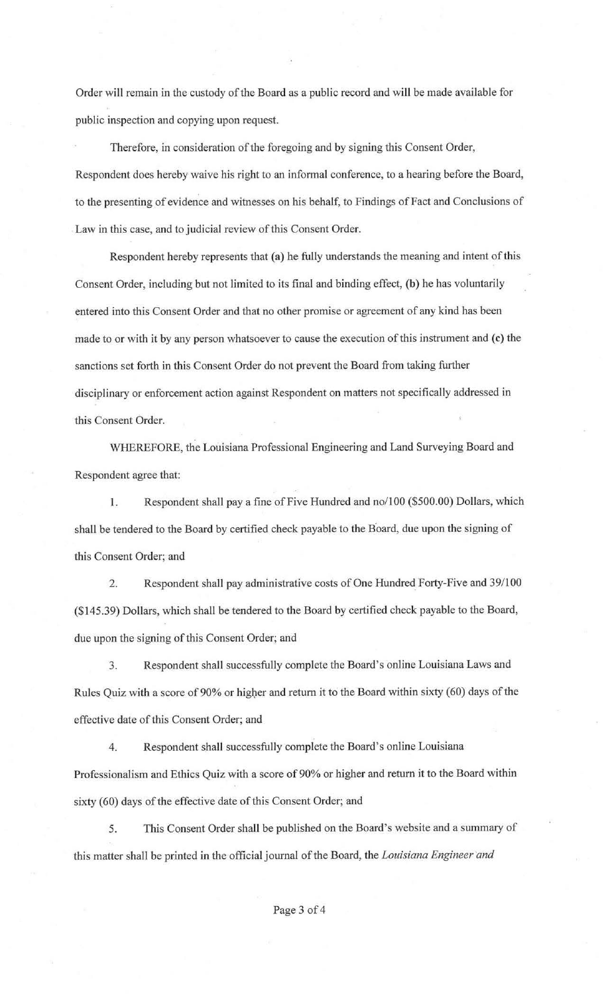Order will remain in the custody of the Board as a public record and will be made available for public inspection and copying upon request.

Therefore, in consideration of the foregoing and by signing this Consent Order, Respondent does hereby waive his right to an informal conference, to a hearing before the Board, to the presenting of evidence and witnesses on his behalf, to Findings of Fact and Conclusions of . Law in this case, and to judicial review of this Consent Order.

Respondent hereby represents that (a) he fully understands the meaning and intent of this Consent Order, including but not limited to its final and binding effect, (b) he has voluntarily entered into this Consent Order and that no other promise or agreement of any kind has been made to or with it by any person whatsoever to cause the execution of this instrument and (c) the sanctions set forth in this Consent Order do not prevent the Board from taking further disciplinary or enforcement action against Respondent on matters not specifically addressed in this Consent Order.

WHEREFORE, the Louisiana Professional Engineering and Land Surveying Board and Respondent agree that:

1. Respondent shall pay a fine of Five Hundred and no/100 (\$500.00) Dollars, which shall be tendered to the Board by certified check payable to the Board, due upon the signing of this Consent Order; and

2. Respondent shall pay administrative costs of One Hundred Forty-Five and 39/100 (\$145.39) Dollars, which shall be tendered to the Board by certified check payable to the Board, due upon the signing of this Consent Order; and

3. Respondent shall successfully complete the Board's online Louisiana Laws and Rules Quiz with a score of 90% or higher and return it to the Board within sixty (60) days of the effective date of this Consent Order; and

4. Respondent shall successfully complete the Board's online Louisiana Professionalism and Ethics Quiz with a score of 90% or higher and return it to the Board within sixty (60) days of the effective date of this Consent Order; and

5. This Consent Order shall be published on the Board's website and a summary of this matter shall be printed in the official journal of the Board, the *Louisiana Engineer and*